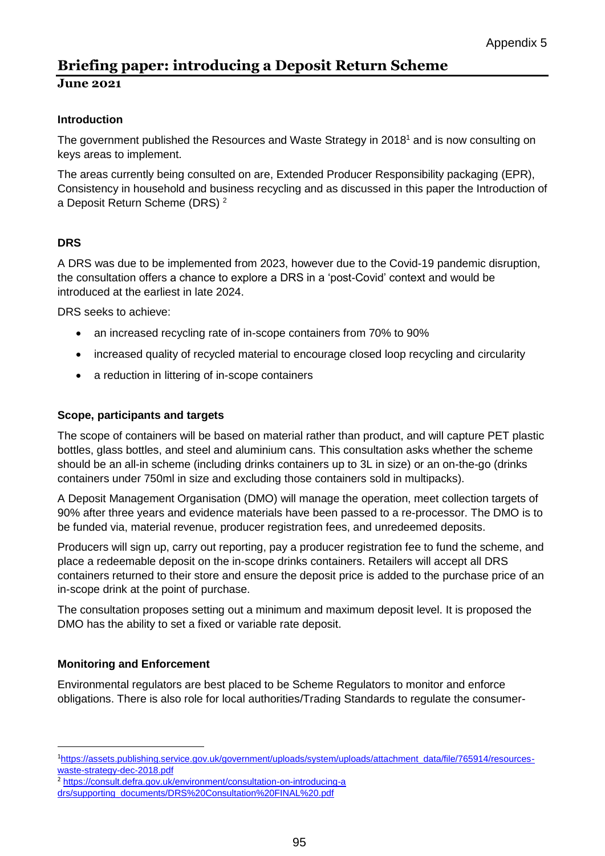# **Briefing paper: introducing a Deposit Return Scheme**

### **June 2021**

## **Introduction**

The government published the Resources and Waste Strategy in 2018<sup>1</sup> and is now consulting on keys areas to implement.

The areas currently being consulted on are, Extended Producer Responsibility packaging (EPR), Consistency in household and business recycling and as discussed in this paper the Introduction of a Deposit Return Scheme (DRS) <sup>2</sup>

## **DRS**

A DRS was due to be implemented from 2023, however due to the Covid-19 pandemic disruption, the consultation offers a chance to explore a DRS in a 'post-Covid' context and would be introduced at the earliest in late 2024.

DRS seeks to achieve:

- an increased recycling rate of in-scope containers from 70% to 90%
- increased quality of recycled material to encourage closed loop recycling and circularity
- a reduction in littering of in-scope containers

#### **Scope, participants and targets**

The scope of containers will be based on material rather than product, and will capture PET plastic bottles, glass bottles, and steel and aluminium cans. This consultation asks whether the scheme should be an all-in scheme (including drinks containers up to 3L in size) or an on-the-go (drinks containers under 750ml in size and excluding those containers sold in multipacks).

A Deposit Management Organisation (DMO) will manage the operation, meet collection targets of 90% after three years and evidence materials have been passed to a re-processor. The DMO is to be funded via, material revenue, producer registration fees, and unredeemed deposits.

Producers will sign up, carry out reporting, pay a producer registration fee to fund the scheme, and place a redeemable deposit on the in-scope drinks containers. Retailers will accept all DRS containers returned to their store and ensure the deposit price is added to the purchase price of an in-scope drink at the point of purchase.

The consultation proposes setting out a minimum and maximum deposit level. It is proposed the DMO has the ability to set a fixed or variable rate deposit.

### **Monitoring and Enforcement**

**.** 

Environmental regulators are best placed to be Scheme Regulators to monitor and enforce obligations. There is also role for local authorities/Trading Standards to regulate the consumer-

<sup>1</sup>[https://assets.publishing.service.gov.uk/government/uploads/system/uploads/attachment\\_data/file/765914/resources](https://assets.publishing.service.gov.uk/government/uploads/system/uploads/attachment_data/file/765914/resources-waste-strategy-dec-2018.pdf)[waste-strategy-dec-2018.pdf](https://assets.publishing.service.gov.uk/government/uploads/system/uploads/attachment_data/file/765914/resources-waste-strategy-dec-2018.pdf)

<sup>2</sup> <https://consult.defra.gov.uk/environment/consultation-on-introducing-a> drs/supporting\_documents/DRS%20Consultation%20FINAL%20.pdf